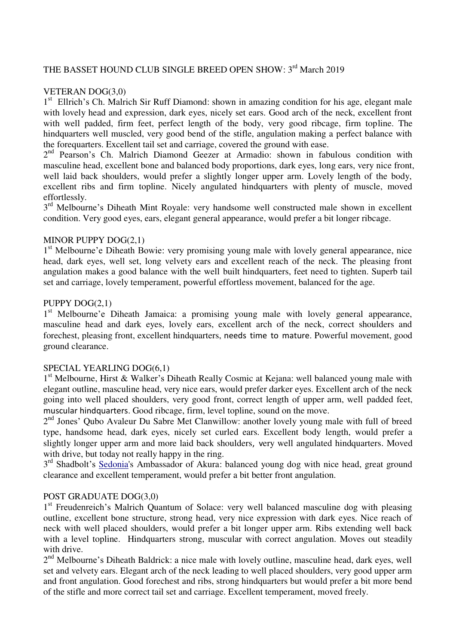# THE BASSET HOUND CLUB SINGLE BREED OPEN SHOW: 3<sup>rd</sup> March 2019

### VETERAN DOG(3,0)

1<sup>st</sup> Ellrich's Ch. Malrich Sir Ruff Diamond: shown in amazing condition for his age, elegant male with lovely head and expression, dark eyes, nicely set ears. Good arch of the neck, excellent front with well padded, firm feet, perfect length of the body, very good ribcage, firm topline. The hindquarters well muscled, very good bend of the stifle, angulation making a perfect balance with the forequarters. Excellent tail set and carriage, covered the ground with ease.

2<sup>nd</sup> Pearson's Ch. Malrich Diamond Geezer at Armadio: shown in fabulous condition with masculine head, excellent bone and balanced body proportions, dark eyes, long ears, very nice front, well laid back shoulders, would prefer a slightly longer upper arm. Lovely length of the body, excellent ribs and firm topline. Nicely angulated hindquarters with plenty of muscle, moved effortlessly.

3<sup>rd</sup> Melbourne's Diheath Mint Royale: very handsome well constructed male shown in excellent condition. Very good eyes, ears, elegant general appearance, would prefer a bit longer ribcage.

### MINOR PUPPY DOG(2,1)

1<sup>st</sup> Melbourne'e Diheath Bowie: very promising young male with lovely general appearance, nice head, dark eyes, well set, long velvety ears and excellent reach of the neck. The pleasing front angulation makes a good balance with the well built hindquarters, feet need to tighten. Superb tail set and carriage, lovely temperament, powerful effortless movement, balanced for the age.

#### PUPPY DOG(2,1)

1<sup>st</sup> Melbourne'e Diheath Jamaica: a promising young male with lovely general appearance, masculine head and dark eyes, lovely ears, excellent arch of the neck, correct shoulders and forechest, pleasing front, excellent hindquarters, needs time to mature. Powerful movement, good ground clearance.

#### SPECIAL YEARLING DOG(6,1)

1<sup>st</sup> Melbourne, Hirst & Walker's Diheath Really Cosmic at Kejana: well balanced young male with elegant outline, masculine head, very nice ears, would prefer darker eyes. Excellent arch of the neck going into well placed shoulders, very good front, correct length of upper arm, well padded feet, muscular hindquarters. Good ribcage, firm, level topline, sound on the move.

2<sup>nd</sup> Jones' Qubo Avaleur Du Sabre Met Clanwillow: another lovely young male with full of breed type, handsome head, dark eyes, nicely set curled ears. Excellent body length, would prefer a slightly longer upper arm and more laid back shoulders, very well angulated hindquarters. Moved with drive, but today not really happy in the ring.

3<sup>rd</sup> Shadbolt's Sedonia's Ambassador of Akura: balanced young dog with nice head, great ground clearance and excellent temperament, would prefer a bit better front angulation.

### POST GRADUATE DOG(3,0)

1<sup>st</sup> Freudenreich's Malrich Quantum of Solace: very well balanced masculine dog with pleasing outline, excellent bone structure, strong head, very nice expression with dark eyes. Nice reach of neck with well placed shoulders, would prefer a bit longer upper arm. Ribs extending well back with a level topline. Hindquarters strong, muscular with correct angulation. Moves out steadily with drive.

2<sup>nd</sup> Melbourne's Diheath Baldrick: a nice male with lovely outline, masculine head, dark eyes, well set and velvety ears. Elegant arch of the neck leading to well placed shoulders, very good upper arm and front angulation. Good forechest and ribs, strong hindquarters but would prefer a bit more bend of the stifle and more correct tail set and carriage. Excellent temperament, moved freely.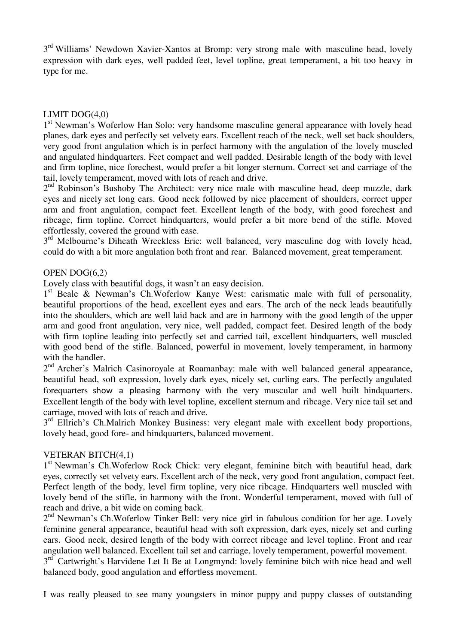3<sup>rd</sup> Williams' Newdown Xavier-Xantos at Bromp: very strong male with masculine head, lovely expression with dark eyes, well padded feet, level topline, great temperament, a bit too heavy in type for me.

### LIMIT DOG(4,0)

1<sup>st</sup> Newman's Woferlow Han Solo: very handsome masculine general appearance with lovely head planes, dark eyes and perfectly set velvety ears. Excellent reach of the neck, well set back shoulders, very good front angulation which is in perfect harmony with the angulation of the lovely muscled and angulated hindquarters. Feet compact and well padded. Desirable length of the body with level and firm topline, nice forechest, would prefer a bit longer sternum. Correct set and carriage of the tail, lovely temperament, moved with lots of reach and drive.

2<sup>nd</sup> Robinson's Bushoby The Architect: very nice male with masculine head, deep muzzle, dark eyes and nicely set long ears. Good neck followed by nice placement of shoulders, correct upper arm and front angulation, compact feet. Excellent length of the body, with good forechest and ribcage, firm topline. Correct hindquarters, would prefer a bit more bend of the stifle. Moved effortlessly, covered the ground with ease.

3<sup>rd</sup> Melbourne's Diheath Wreckless Eric: well balanced, very masculine dog with lovely head, could do with a bit more angulation both front and rear. Balanced movement, great temperament.

### OPEN DOG(6,2)

Lovely class with beautiful dogs, it wasn't an easy decision.

1<sup>st</sup> Beale & Newman's Ch.Woferlow Kanye West: carismatic male with full of personality, beautiful proportions of the head, excellent eyes and ears. The arch of the neck leads beautifully into the shoulders, which are well laid back and are in harmony with the good length of the upper arm and good front angulation, very nice, well padded, compact feet. Desired length of the body with firm topline leading into perfectly set and carried tail, excellent hindquarters, well muscled with good bend of the stifle. Balanced, powerful in movement, lovely temperament, in harmony with the handler.

2<sup>nd</sup> Archer's Malrich Casinoroyale at Roamanbay: male with well balanced general appearance, beautiful head, soft expression, lovely dark eyes, nicely set, curling ears. The perfectly angulated forequarters show a pleasing harmony with the very muscular and well built hindquarters. Excellent length of the body with level topline, excellent sternum and ribcage. Very nice tail set and carriage, moved with lots of reach and drive.

3<sup>rd</sup> Ellrich's Ch.Malrich Monkey Business: very elegant male with excellent body proportions, lovely head, good fore- and hindquarters, balanced movement.

### VETERAN BITCH(4,1)

1<sup>st</sup> Newman's Ch. Woferlow Rock Chick: very elegant, feminine bitch with beautiful head, dark eyes, correctly set velvety ears. Excellent arch of the neck, very good front angulation, compact feet. Perfect length of the body, level firm topline, very nice ribcage. Hindquarters well muscled with lovely bend of the stifle, in harmony with the front. Wonderful temperament, moved with full of reach and drive, a bit wide on coming back.

2<sup>nd</sup> Newman's Ch.Woferlow Tinker Bell: very nice girl in fabulous condition for her age. Lovely feminine general appearance, beautiful head with soft expression, dark eyes, nicely set and curling ears. Good neck, desired length of the body with correct ribcage and level topline. Front and rear angulation well balanced. Excellent tail set and carriage, lovely temperament, powerful movement.

3<sup>rd</sup> Cartwright's Harvidene Let It Be at Longmynd: lovely feminine bitch with nice head and well balanced body, good angulation and effortless movement.

I was really pleased to see many youngsters in minor puppy and puppy classes of outstanding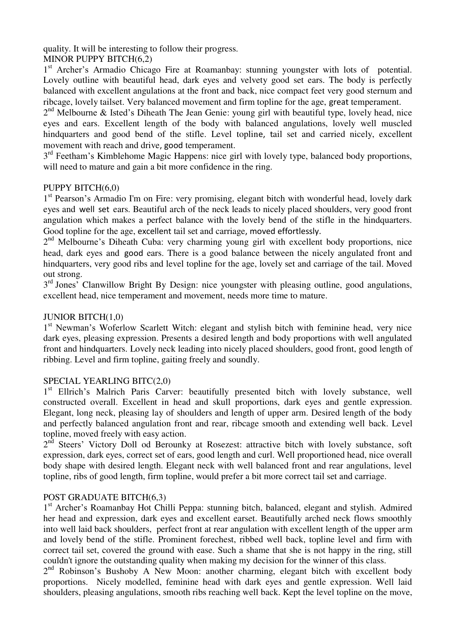quality. It will be interesting to follow their progress.

# MINOR PUPPY BITCH(6,2)

1<sup>st</sup> Archer's Armadio Chicago Fire at Roamanbay: stunning youngster with lots of potential. Lovely outline with beautiful head, dark eyes and velvety good set ears. The body is perfectly balanced with excellent angulations at the front and back, nice compact feet very good sternum and ribcage, lovely tailset. Very balanced movement and firm topline for the age, great temperament.

 $2<sup>nd</sup>$  Melbourne & Isted's Diheath The Jean Genie: young girl with beautiful type, lovely head, nice eyes and ears. Excellent length of the body with balanced angulations, lovely well muscled hindquarters and good bend of the stifle. Level topline, tail set and carried nicely, excellent movement with reach and drive, good temperament.

3<sup>rd</sup> Feetham's Kimblehome Magic Happens: nice girl with lovely type, balanced body proportions, will need to mature and gain a bit more confidence in the ring.

## PUPPY BITCH(6,0)

1<sup>st</sup> Pearson's Armadio I'm on Fire: very promising, elegant bitch with wonderful head, lovely dark eyes and well set ears. Beautiful arch of the neck leads to nicely placed shoulders, very good front angulation which makes a perfect balance with the lovely bend of the stifle in the hindquarters. Good topline for the age, excellent tail set and carriage, moved effortlessly.

2<sup>nd</sup> Melbourne's Diheath Cuba: very charming young girl with excellent body proportions, nice head, dark eyes and good ears. There is a good balance between the nicely angulated front and hindquarters, very good ribs and level topline for the age, lovely set and carriage of the tail. Moved out strong.

3<sup>rd</sup> Jones<sup>7</sup> Clanwillow Bright By Design: nice youngster with pleasing outline, good angulations, excellent head, nice temperament and movement, needs more time to mature.

# JUNIOR BITCH(1,0)

1<sup>st</sup> Newman's Woferlow Scarlett Witch: elegant and stylish bitch with feminine head, very nice dark eyes, pleasing expression. Presents a desired length and body proportions with well angulated front and hindquarters. Lovely neck leading into nicely placed shoulders, good front, good length of ribbing. Level and firm topline, gaiting freely and soundly.

## SPECIAL YEARLING BITC(2,0)

1<sup>st</sup> Ellrich's Malrich Paris Carver: beautifully presented bitch with lovely substance, well constructed overall. Excellent in head and skull proportions, dark eyes and gentle expression. Elegant, long neck, pleasing lay of shoulders and length of upper arm. Desired length of the body and perfectly balanced angulation front and rear, ribcage smooth and extending well back. Level topline, moved freely with easy action.

2<sup>nd</sup> Steers' Victory Doll od Berounky at Rosezest: attractive bitch with lovely substance, soft expression, dark eyes, correct set of ears, good length and curl. Well proportioned head, nice overall body shape with desired length. Elegant neck with well balanced front and rear angulations, level topline, ribs of good length, firm topline, would prefer a bit more correct tail set and carriage.

## POST GRADUATE BITCH(6,3)

1<sup>st</sup> Archer's Roamanbay Hot Chilli Peppa: stunning bitch, balanced, elegant and stylish. Admired her head and expression, dark eyes and excellent earset. Beautifully arched neck flows smoothly into well laid back shoulders, perfect front at rear angulation with excellent length of the upper arm and lovely bend of the stifle. Prominent forechest, ribbed well back, topline level and firm with correct tail set, covered the ground with ease. Such a shame that she is not happy in the ring, still couldn't ignore the outstanding quality when making my decision for the winner of this class.

2<sup>nd</sup> Robinson's Bushoby A New Moon: another charming, elegant bitch with excellent body proportions. Nicely modelled, feminine head with dark eyes and gentle expression. Well laid shoulders, pleasing angulations, smooth ribs reaching well back. Kept the level topline on the move,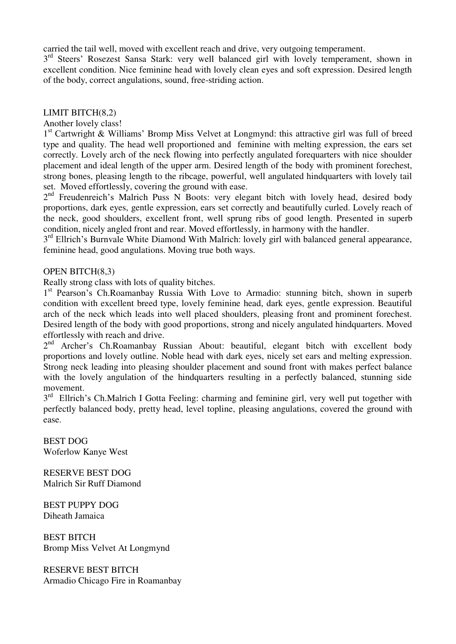carried the tail well, moved with excellent reach and drive, very outgoing temperament.

3<sup>rd</sup> Steers' Rosezest Sansa Stark: very well balanced girl with lovely temperament, shown in excellent condition. Nice feminine head with lovely clean eyes and soft expression. Desired length of the body, correct angulations, sound, free-striding action.

### LIMIT BITCH(8,2)

Another lovely class!

1 st Cartwright & Williams' Bromp Miss Velvet at Longmynd: this attractive girl was full of breed type and quality. The head well proportioned and feminine with melting expression, the ears set correctly. Lovely arch of the neck flowing into perfectly angulated forequarters with nice shoulder placement and ideal length of the upper arm. Desired length of the body with prominent forechest, strong bones, pleasing length to the ribcage, powerful, well angulated hindquarters with lovely tail set. Moved effortlessly, covering the ground with ease.

2<sup>nd</sup> Freudenreich's Malrich Puss N Boots: very elegant bitch with lovely head, desired body proportions, dark eyes, gentle expression, ears set correctly and beautifully curled. Lovely reach of the neck, good shoulders, excellent front, well sprung ribs of good length. Presented in superb condition, nicely angled front and rear. Moved effortlessly, in harmony with the handler.

3<sup>rd</sup> Ellrich's Burnvale White Diamond With Malrich: lovely girl with balanced general appearance, feminine head, good angulations. Moving true both ways.

### OPEN BITCH(8,3)

Really strong class with lots of quality bitches.

1<sup>st</sup> Pearson's Ch.Roamanbay Russia With Love to Armadio: stunning bitch, shown in superb condition with excellent breed type, lovely feminine head, dark eyes, gentle expression. Beautiful arch of the neck which leads into well placed shoulders, pleasing front and prominent forechest. Desired length of the body with good proportions, strong and nicely angulated hindquarters. Moved effortlessly with reach and drive.

2<sup>nd</sup> Archer's Ch.Roamanbay Russian About: beautiful, elegant bitch with excellent body proportions and lovely outline. Noble head with dark eyes, nicely set ears and melting expression. Strong neck leading into pleasing shoulder placement and sound front with makes perfect balance with the lovely angulation of the hindquarters resulting in a perfectly balanced, stunning side movement.

3<sup>rd</sup> Ellrich's Ch.Malrich I Gotta Feeling: charming and feminine girl, very well put together with perfectly balanced body, pretty head, level topline, pleasing angulations, covered the ground with ease.

BEST DOG Woferlow Kanye West

RESERVE BEST DOG Malrich Sir Ruff Diamond

BEST PUPPY DOG Diheath Jamaica

BEST BITCH Bromp Miss Velvet At Longmynd

RESERVE BEST BITCH Armadio Chicago Fire in Roamanbay